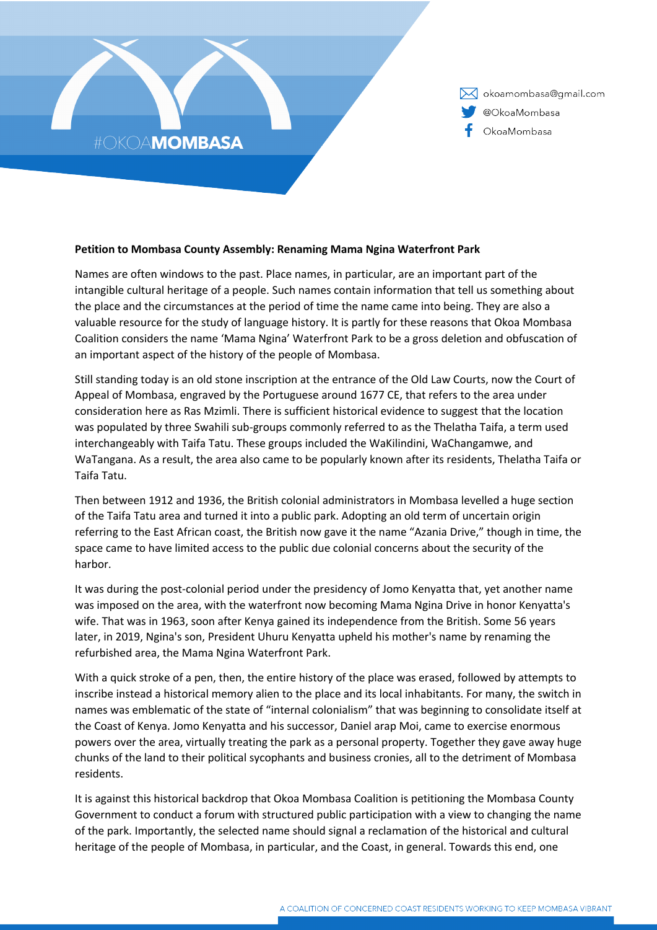

X okoamombasa@gmail.com @OkoaMombasa OkoaMombasa

## **Petition to Mombasa County Assembly: Renaming Mama Ngina Waterfront Park**

Names are often windows to the past. Place names, in particular, are an important part of the intangible cultural heritage of a people. Such names contain information that tell us something about the place and the circumstances at the period of time the name came into being. They are also a valuable resource for the study of language history. It is partly for these reasons that Okoa Mombasa Coalition considers the name 'Mama Ngina' Waterfront Park to be a gross deletion and obfuscation of an important aspect of the history of the people of Mombasa.

Still standing today is an old stone inscription at the entrance of the Old Law Courts, now the Court of Appeal of Mombasa, engraved by the Portuguese around 1677 CE, that refers to the area under consideration here as Ras Mzimli. There is sufficient historical evidence to suggest that the location was populated by three Swahili sub-groups commonly referred to as the Thelatha Taifa, a term used interchangeably with Taifa Tatu. These groups included the WaKilindini, WaChangamwe, and WaTangana. As a result, the area also came to be popularly known after its residents, Thelatha Taifa or Taifa Tatu.

Then between 1912 and 1936, the British colonial administrators in Mombasa levelled a huge section of the Taifa Tatu area and turned it into a public park. Adopting an old term of uncertain origin referring to the East African coast, the British now gave it the name "Azania Drive," though in time, the space came to have limited access to the public due colonial concerns about the security of the harbor.

It was during the post-colonial period under the presidency of Jomo Kenyatta that, yet another name was imposed on the area, with the waterfront now becoming Mama Ngina Drive in honor Kenyatta's wife. That was in 1963, soon after Kenya gained its independence from the British. Some 56 years later, in 2019, Ngina's son, President Uhuru Kenyatta upheld his mother's name by renaming the refurbished area, the Mama Ngina Waterfront Park.

With a quick stroke of a pen, then, the entire history of the place was erased, followed by attempts to inscribe instead a historical memory alien to the place and its local inhabitants. For many, the switch in names was emblematic of the state of "internal colonialism" that was beginning to consolidate itself at the Coast of Kenya. Jomo Kenyatta and his successor, Daniel arap Moi, came to exercise enormous powers over the area, virtually treating the park as a personal property. Together they gave away huge chunks of the land to their political sycophants and business cronies, all to the detriment of Mombasa residents.

It is against this historical backdrop that Okoa Mombasa Coalition is petitioning the Mombasa County Government to conduct a forum with structured public participation with a view to changing the name of the park. Importantly, the selected name should signal a reclamation of the historical and cultural heritage of the people of Mombasa, in particular, and the Coast, in general. Towards this end, one